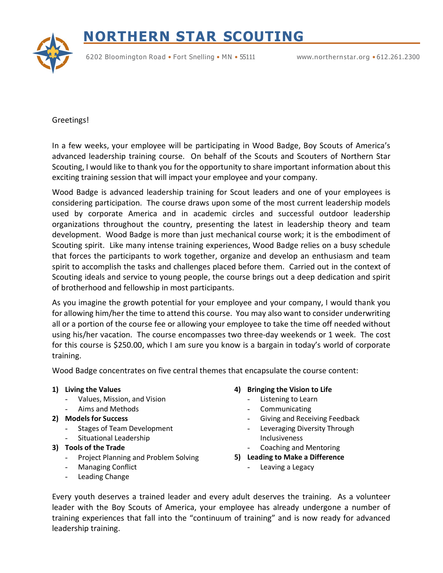## **NORTHERN STAR SCOUTING**



6202 Bloomington Road • Fort Snelling • MN • 55111 [www.](http://www.northernstar.org/)[northernstar.org](http://www.northernstar.org/) • 612.261.2300

## Greetings!

In a few weeks, your employee will be participating in Wood Badge, Boy Scouts of America's advanced leadership training course. On behalf of the Scouts and Scouters of Northern Star Scouting, I would like to thank you for the opportunity to share important information about this exciting training session that will impact your employee and your company.

Wood Badge is advanced leadership training for Scout leaders and one of your employees is considering participation. The course draws upon some of the most current leadership models used by corporate America and in academic circles and successful outdoor leadership organizations throughout the country, presenting the latest in leadership theory and team development. Wood Badge is more than just mechanical course work; it is the embodiment of Scouting spirit. Like many intense training experiences, Wood Badge relies on a busy schedule that forces the participants to work together, organize and develop an enthusiasm and team spirit to accomplish the tasks and challenges placed before them. Carried out in the context of Scouting ideals and service to young people, the course brings out a deep dedication and spirit of brotherhood and fellowship in most participants.

As you imagine the growth potential for your employee and your company, I would thank you for allowing him/her the time to attend this course. You may also want to consider underwriting all or a portion of the course fee or allowing your employee to take the time off needed without using his/her vacation. The course encompasses two three-day weekends or 1 week. The cost for this course is \$250.00, which I am sure you know is a bargain in today's world of corporate training.

Wood Badge concentrates on five central themes that encapsulate the course content:

- **1) Living the Values**
	- Values, Mission, and Vision
	- Aims and Methods
- **2) Models for Success**
	- Stages of Team Development
	- Situational Leadership
- **3) Tools of the Trade**
	- Project Planning and Problem Solving
	- Managing Conflict
	- Leading Change

## **4) Bringing the Vision to Life**

- Listening to Learn
- **Communicating**
- Giving and Receiving Feedback
- Leveraging Diversity Through Inclusiveness
- Coaching and Mentoring
- **5) Leading to Make a Difference**
	- Leaving a Legacy

Every youth deserves a trained leader and every adult deserves the training. As a volunteer leader with the Boy Scouts of America, your employee has already undergone a number of training experiences that fall into the "continuum of training" and is now ready for advanced leadership training.